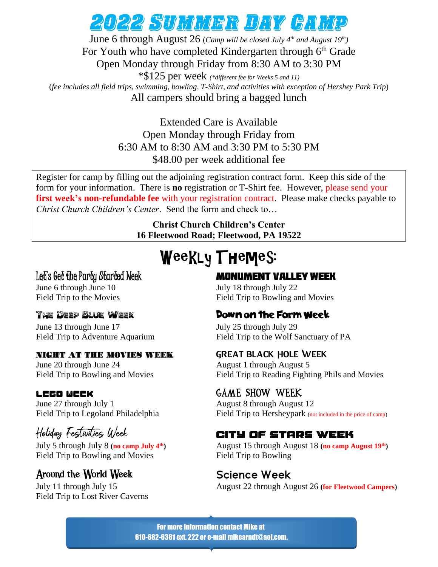## 2022 Summer Day Camp

June 6 through August 26 (*Camp will be closed July 4 th and August 19th)* For Youth who have completed Kindergarten through 6<sup>th</sup> Grade Open Monday through Friday from 8:30 AM to 3:30 PM

\*\$125 per week *(\*different fee for Weeks 5 and 11)* (*fee includes all field trips, swimming, bowling, T-Shirt, and activities with exception of Hershey Park Trip*) All campers should bring a bagged lunch

> Extended Care is Available Open Monday through Friday from 6:30 AM to 8:30 AM and 3:30 PM to 5:30 PM \$48.00 per week additional fee

Register for camp by filling out the adjoining registration contract form. Keep this side of the form for your information. There is **no** registration or T-Shirt fee. However, please send your **first week's non-refundable fee** with your registration contract. Please make checks payable to *Christ Church Children's Center*. Send the form and check to…

> **Christ Church Children's Center 16 Fleetwood Road; Fleetwood, PA 19522**

# Weekly Themes:

June 6 through June 10 July 18 through July 22

June 13 through June 17 July 25 through July 29

#### NIGHT AT THE MOVIES WEEK

June 20 through June 24 August 1 through August 5

#### **LEGO UEEK**

June 27 through July 1 August 8 through August 12

## Holiday Festivilies Ulcek

July 5 through July 8 **(no camp July 4** Field Trip to Bowling and Movies Field Trip to Bowling

## Around the World Week **Science Week**

Field Trip to Lost River Caverns

### Let's Get the Party Started Week **MONUMENT VALLEY WEEK**

Field Trip to the Movies Field Trip to Bowling and Movies

### The Deep Blue Week **The Pown on the Farm Week**

Field Trip to Adventure Aquarium Field Trip to the Wolf Sanctuary of PA

#### Great Black Hole Week

Field Trip to Bowling and Movies Field Trip to Reading Fighting Phils and Movies

### **GAME SHOW WEEK**

Field Trip to Legoland Philadelphia Field Trip to Hersheypark (not included in the price of camp)

### CITY OF STARS WEEK

**th)** August 15 through August 18 **(no camp August 19th)**

July 11 through July 15 August 22 through August 26 **(for Fleetwood Campers)**

For more information contact Mike at 610-682-6381 ext. 222 or e-mail mikearndt@aol.com.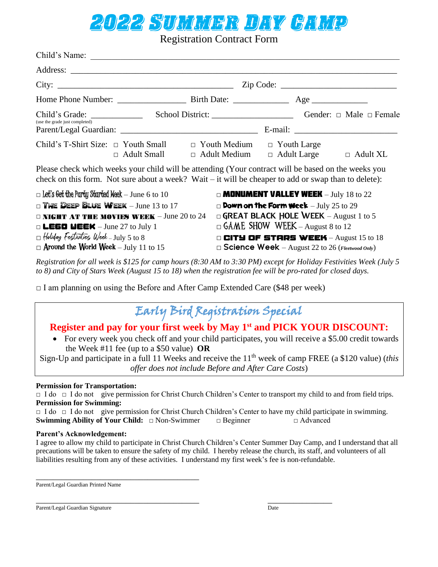# 2022 Summer Day Camp

Registration Contract Form

| Child's Name:                                                                                                                                                                                                 |                                                                                                                                                                                            |  |
|---------------------------------------------------------------------------------------------------------------------------------------------------------------------------------------------------------------|--------------------------------------------------------------------------------------------------------------------------------------------------------------------------------------------|--|
|                                                                                                                                                                                                               |                                                                                                                                                                                            |  |
|                                                                                                                                                                                                               | $\mathsf{Zip Code: }$                                                                                                                                                                      |  |
|                                                                                                                                                                                                               |                                                                                                                                                                                            |  |
|                                                                                                                                                                                                               |                                                                                                                                                                                            |  |
| (use the grade just completed)                                                                                                                                                                                |                                                                                                                                                                                            |  |
| Child's T-Shirt Size: $\Box$ Youth Small $\Box$ Youth Medium $\Box$ Youth Large<br>$\Box$ Adult Small                                                                                                         | $\Box$ Adult Medium $\Box$ Adult Large<br>$\Box$ Adult XL                                                                                                                                  |  |
| Please check which weeks your child will be attending (Your contract will be based on the weeks you<br>check on this form. Not sure about a week? Wait $-$ it will be cheaper to add or swap than to delete): |                                                                                                                                                                                            |  |
| $\Box$ Let's Get the Party Started Week $-$ June 6 to 10<br>$\Box$ The Deep Blue Week - June 13 to 17<br>$\Box$ NIGHT AT THE MOVIES WEEK - June 20 to 24<br>$\Box$ LE60 UEEK - June 27 to July 1              | $\Box$ <b>MONUMENT VALLEY WEEK</b> $-$ July 18 to 22<br>$\square$ Down on the Form Week - July 25 to 29<br>GREAT BLACK HOLE WEEK - August 1 to 5<br>$\Box$ GAME SHOW WEEK – August 8 to 12 |  |
| $\Box$ Holiday Festivities Week - July 5 to 8<br>$\Box$ Around the World Week – July 11 to 15                                                                                                                 | <b>CITY OF STARS WEEK</b> - August 15 to 18<br>$\square$ Science Week - August 22 to 26 (Fleetwood Only)                                                                                   |  |

*Registration for all week is \$125 for camp hours (8:30 AM to 3:30 PM) except for Holiday Festivities Week (July 5 to 8) and City of Stars Week (August 15 to 18) when the registration fee will be pro-rated for closed days.*

 $\Box$  I am planning on using the Before and After Camp Extended Care (\$48 per week)

## Early Bird Registration Special

### **Register and pay for your first week by May 1st and PICK YOUR DISCOUNT:**

• For every week you check off and your child participates, you will receive a \$5.00 credit towards the Week #11 fee (up to a \$50 value) **OR**

Sign-Up and participate in a full 11 Weeks and receive the 11<sup>th</sup> week of camp FREE (a \$120 value) *(this offer does not include Before and After Care Costs*)

#### **Permission for Transportation:**

□ I do □ I do not give permission for Christ Church Children's Center to transport my child to and from field trips. **Permission for Swimming:**

□ I do □ I do not give permission for Christ Church Children's Center to have my child participate in swimming. **Swimming Ability of Your Child:** □ Non-Swimmer □ Beginner □ Advanced

#### **Parent's Acknowledgement:**

I agree to allow my child to participate in Christ Church Children's Center Summer Day Camp, and I understand that all precautions will be taken to ensure the safety of my child. I hereby release the church, its staff, and volunteers of all liabilities resulting from any of these activities. I understand my first week's fee is non-refundable.

\_\_\_\_\_\_\_\_\_\_\_\_\_\_\_\_\_\_\_\_\_\_\_\_\_\_\_\_\_\_\_\_\_\_\_\_\_\_ Parent/Legal Guardian Printed Name

\_\_\_\_\_\_\_\_\_\_\_\_\_\_\_\_\_\_\_\_\_\_\_\_\_\_\_\_\_\_\_\_\_\_\_\_\_\_ \_\_\_\_\_\_\_\_\_\_\_\_\_\_\_ Parent/Legal Guardian Signature Date